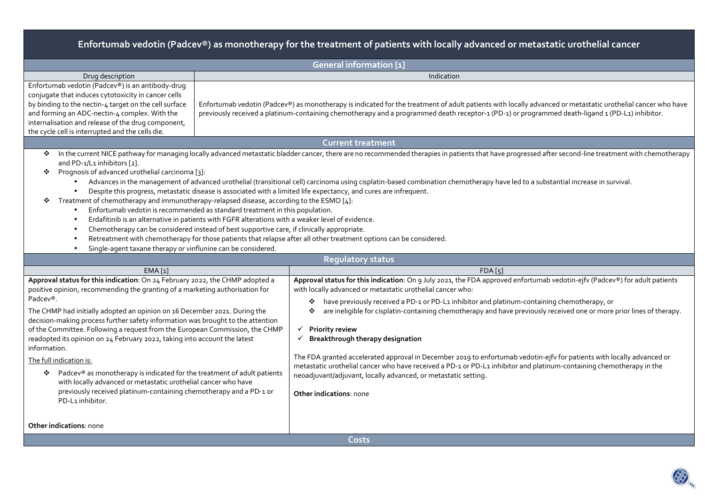# **Enfortumab vedotin (Padcev®) as monotherapy for the treatment of patients with locally advanced or metastatic urothelial cancer**

| <b>General information [1]</b>                                                                                                                                                                                                                                                                                                                                                                                                                                                                                                                                                                                                                                                                                                                                                               |                                                                                                                                                                                                                                                                                                                                                                                                                                                                                                                                                                                                                                                                                                                                                                                                                                         |  |  |  |  |  |  |  |
|----------------------------------------------------------------------------------------------------------------------------------------------------------------------------------------------------------------------------------------------------------------------------------------------------------------------------------------------------------------------------------------------------------------------------------------------------------------------------------------------------------------------------------------------------------------------------------------------------------------------------------------------------------------------------------------------------------------------------------------------------------------------------------------------|-----------------------------------------------------------------------------------------------------------------------------------------------------------------------------------------------------------------------------------------------------------------------------------------------------------------------------------------------------------------------------------------------------------------------------------------------------------------------------------------------------------------------------------------------------------------------------------------------------------------------------------------------------------------------------------------------------------------------------------------------------------------------------------------------------------------------------------------|--|--|--|--|--|--|--|
| Indication<br>Drug description                                                                                                                                                                                                                                                                                                                                                                                                                                                                                                                                                                                                                                                                                                                                                               |                                                                                                                                                                                                                                                                                                                                                                                                                                                                                                                                                                                                                                                                                                                                                                                                                                         |  |  |  |  |  |  |  |
| Enfortumab vedotin (Padcev®) is an antibody-drug<br>conjugate that induces cytotoxicity in cancer cells<br>by binding to the nectin-4 target on the cell surface<br>Enfortumab vedotin (Padcev®) as monotherapy is indicated for the treatment of adult patients with locally advanced or metastatic urothelial cancer who have<br>and forming an ADC-nectin-4 complex. With the<br>previously received a platinum-containing chemotherapy and a programmed death receptor-1 (PD-1) or programmed death-ligand 1 (PD-L1) inhibitor.<br>internalisation and release of the drug component,<br>the cycle cell is interrupted and the cells die.                                                                                                                                                |                                                                                                                                                                                                                                                                                                                                                                                                                                                                                                                                                                                                                                                                                                                                                                                                                                         |  |  |  |  |  |  |  |
|                                                                                                                                                                                                                                                                                                                                                                                                                                                                                                                                                                                                                                                                                                                                                                                              | <b>Current treatment</b>                                                                                                                                                                                                                                                                                                                                                                                                                                                                                                                                                                                                                                                                                                                                                                                                                |  |  |  |  |  |  |  |
| ❖<br>and PD-1/L1 inhibitors [2].<br>Prognosis of advanced urothelial carcinoma [3]:<br>❖<br>Treatment of chemotherapy and immunotherapy-relapsed disease, according to the ESMO [4]:<br>❖<br>Enfortumab vedotin is recommended as standard treatment in this population.<br>Chemotherapy can be considered instead of best supportive care, if clinically appropriate.<br>Single-agent taxane therapy or vinflunine can be considered                                                                                                                                                                                                                                                                                                                                                        | In the current NICE pathway for managing locally advanced metastatic bladder cancer, there are no recommended therapies in patients that have progressed after second-line treatment with chemotherapy<br>Advances in the management of advanced urothelial (transitional cell) carcinoma using cisplatin-based combination chemotherapy have led to a substantial increase in survival.<br>Despite this progress, metastatic disease is associated with a limited life expectancy, and cures are infrequent.<br>Erdafitinib is an alternative in patients with FGFR alterations with a weaker level of evidence.<br>Retreatment with chemotherapy for those patients that relapse after all other treatment options can be considered.                                                                                                 |  |  |  |  |  |  |  |
|                                                                                                                                                                                                                                                                                                                                                                                                                                                                                                                                                                                                                                                                                                                                                                                              | <b>Regulatory status</b>                                                                                                                                                                                                                                                                                                                                                                                                                                                                                                                                                                                                                                                                                                                                                                                                                |  |  |  |  |  |  |  |
| EMA <sub>[1]</sub>                                                                                                                                                                                                                                                                                                                                                                                                                                                                                                                                                                                                                                                                                                                                                                           | FDA[5]                                                                                                                                                                                                                                                                                                                                                                                                                                                                                                                                                                                                                                                                                                                                                                                                                                  |  |  |  |  |  |  |  |
| Approval status for this indication: On 24 February 2022, the CHMP adopted a<br>positive opinion, recommending the granting of a marketing authorisation for<br>Padcev®.<br>The CHMP had initially adopted an opinion on 16 December 2021. During the<br>decision-making process further safety information was brought to the attention<br>of the Committee. Following a request from the European Commission, the CHMP<br>readopted its opinion on 24 February 2022, taking into account the latest<br>information.<br>The full indication is:<br>Padcev® as monotherapy is indicated for the treatment of adult patients<br>❖<br>with locally advanced or metastatic urothelial cancer who have<br>previously received platinum-containing chemotherapy and a PD-1 or<br>PD-L1 inhibitor. | Approval status for this indication: On 9 July 2021, the FDA approved enfortumab vedotin-ejfv (Padcev®) for adult patients<br>with locally advanced or metastatic urothelial cancer who:<br>have previously received a PD-1 or PD-L1 inhibitor and platinum-containing chemotherapy, or<br>❖<br>are ineligible for cisplatin-containing chemotherapy and have previously received one or more prior lines of therapy.<br><b>Priority review</b><br>✓<br>Breakthrough therapy designation<br>The FDA granted accelerated approval in December 2019 to enfortumab vedotin-ejfv for patients with locally advanced or<br>metastatic urothelial cancer who have received a PD-1 or PD-L1 inhibitor and platinum-containing chemotherapy in the<br>neoadjuvant/adjuvant, locally advanced, or metastatic setting.<br>Other indications: none |  |  |  |  |  |  |  |
| <b>Other indications: none</b>                                                                                                                                                                                                                                                                                                                                                                                                                                                                                                                                                                                                                                                                                                                                                               |                                                                                                                                                                                                                                                                                                                                                                                                                                                                                                                                                                                                                                                                                                                                                                                                                                         |  |  |  |  |  |  |  |
| <b>Costs</b>                                                                                                                                                                                                                                                                                                                                                                                                                                                                                                                                                                                                                                                                                                                                                                                 |                                                                                                                                                                                                                                                                                                                                                                                                                                                                                                                                                                                                                                                                                                                                                                                                                                         |  |  |  |  |  |  |  |

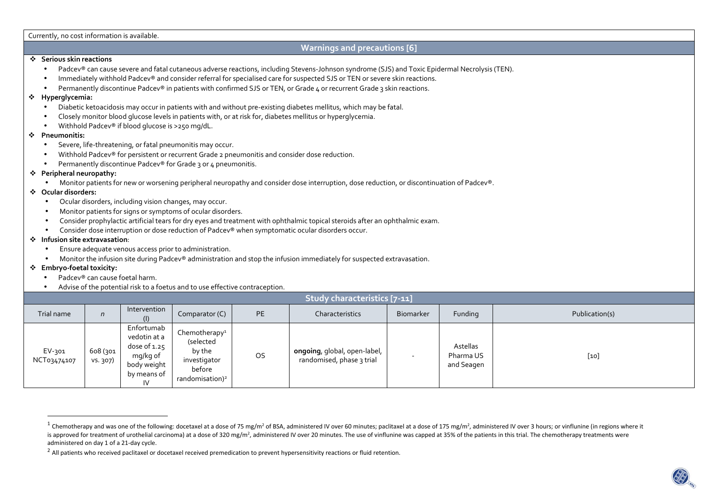#### Currently, no cost information is available.

#### **Warnings and precautions [6]**

### **Serious skin reactions**

- •Padcev® can cause severe and fatal cutaneous adverse reactions, including Stevens-Johnson syndrome (SJS) and Toxic Epidermal Necrolysis (TEN).
- •Immediately withhold Padcev® and consider referral for specialised care for suspected SJS or TEN or severe skin reactions.
- •Permanently discontinue Padcev® in patients with confirmed SJS or TEN, or Grade 4 or recurrent Grade 3 skin reactions.

### **Hyperglycemia:**

- •Diabetic ketoacidosis may occur in patients with and without pre-existing diabetes mellitus, which may be fatal.
- •Closely monitor blood glucose levels in patients with, or at risk for, diabetes mellitus or hyperglycemia.
- •Withhold Padcev® if blood glucose is >250 mg/dL.

### **Pneumonitis:**

- •Severe, life-threatening, or fatal pneumonitis may occur.
- •Withhold Padcev® for persistent or recurrent Grade 2 pneumonitis and consider dose reduction.
- •Permanently discontinue Padcev® for Grade 3 or 4 pneumonitis.

# **Peripheral neuropathy:**

•Monitor patients for new or worsening peripheral neuropathy and consider dose interruption, dose reduction, or discontinuation of Padcev®.

# **Ocular disorders:**

- •Ocular disorders, including vision changes, may occur.
- •Monitor patients for signs or symptoms of ocular disorders.
- •Consider prophylactic artificial tears for dry eyes and treatment with ophthalmic topical steroids after an ophthalmic exam.
- •Consider dose interruption or dose reduction of Padcev® when symptomatic ocular disorders occur.

# **Infusion site extravasation**:

- •Ensure adequate venous access prior to administration.
- •Monitor the infusion site during Padcev® administration and stop the infusion immediately for suspected extravasation.

# **Embryo-foetal toxicity:**

- •Padcev® can cause foetal harm.
- •Advise of the potential risk to a foetus and to use effective contraception.

| Study characteristics [7-11] |                      |                                                                                              |                                                                                                           |    |                                                           |           |                                     |                |  |
|------------------------------|----------------------|----------------------------------------------------------------------------------------------|-----------------------------------------------------------------------------------------------------------|----|-----------------------------------------------------------|-----------|-------------------------------------|----------------|--|
| Trial name                   | n                    | Intervention                                                                                 | Comparator (C)                                                                                            | PE | Characteristics                                           | Biomarker | Funding                             | Publication(s) |  |
| EV-301<br>NCT03474107        | 608 (301<br>vs. 307) | Enfortumab<br>vedotin at a<br>dose of $1.25$<br>mg/kg of<br>body weight<br>by means of<br>IV | Chemotherapy <sup>1</sup><br>(selected<br>by the<br>investigator<br>before<br>randomisation) <sup>2</sup> | OS | ongoing, global, open-label,<br>randomised, phase 3 trial |           | Astellas<br>Pharma US<br>and Seagen | $[10]$         |  |

<sup>&</sup>lt;sup>1</sup> Chemotherapy and was one of the following: docetaxel at a dose of 75 mg/m<sup>2</sup> of BSA, administered IV over 60 minutes; paclitaxel at a dose of 175 mg/m<sup>2</sup>, administered IV over 3 hours; or vinflunine (in regions where is approved for treatment of urothelial carcinoma) at a dose of 320 mg/m<sup>2</sup>, administered IV over 20 minutes. The use of vinflunine was capped at 35% of the patients in this trial. The chemotherapy treatments were administered on day 1 of a 21-day cycle.

 $^2$  All patients who received paclitaxel or docetaxel received premedication to prevent hypersensitivity reactions or fluid retention.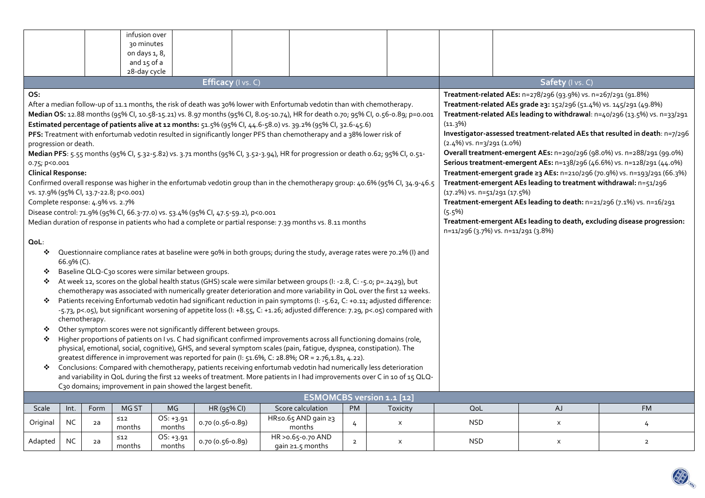|                                                                                                                                                                                                                                                     |           |      | infusion over                          |                     |                                                                                   |                                                                                                                                   |                              |                |  |                |                                                                                                                |                                                                                                                                                   |                           |                                                                          |  |  |
|-----------------------------------------------------------------------------------------------------------------------------------------------------------------------------------------------------------------------------------------------------|-----------|------|----------------------------------------|---------------------|-----------------------------------------------------------------------------------|-----------------------------------------------------------------------------------------------------------------------------------|------------------------------|----------------|--|----------------|----------------------------------------------------------------------------------------------------------------|---------------------------------------------------------------------------------------------------------------------------------------------------|---------------------------|--------------------------------------------------------------------------|--|--|
|                                                                                                                                                                                                                                                     |           |      | 30 minutes                             |                     |                                                                                   |                                                                                                                                   |                              |                |  |                |                                                                                                                |                                                                                                                                                   |                           |                                                                          |  |  |
|                                                                                                                                                                                                                                                     |           |      | on days 1, 8,                          |                     |                                                                                   |                                                                                                                                   |                              |                |  |                |                                                                                                                |                                                                                                                                                   |                           |                                                                          |  |  |
|                                                                                                                                                                                                                                                     |           |      | and 15 of a<br>28-day cycle            |                     |                                                                                   |                                                                                                                                   |                              |                |  |                |                                                                                                                |                                                                                                                                                   |                           |                                                                          |  |  |
|                                                                                                                                                                                                                                                     |           |      |                                        |                     |                                                                                   |                                                                                                                                   |                              |                |  |                |                                                                                                                |                                                                                                                                                   | Safety (I vs. C)          |                                                                          |  |  |
| Efficacy (I vs. C)                                                                                                                                                                                                                                  |           |      |                                        |                     |                                                                                   |                                                                                                                                   |                              |                |  |                |                                                                                                                |                                                                                                                                                   |                           |                                                                          |  |  |
| OS:                                                                                                                                                                                                                                                 |           |      |                                        |                     |                                                                                   | After a median follow-up of 11.1 months, the risk of death was 30% lower with Enfortumab vedotin than with chemotherapy.          |                              |                |  |                |                                                                                                                | Treatment-related AEs: n=278/296 (93.9%) vs. n=267/291 (91.8%)                                                                                    |                           |                                                                          |  |  |
|                                                                                                                                                                                                                                                     |           |      |                                        |                     |                                                                                   | Median OS: 12.88 months (95% Cl, 10.58-15.21) vs. 8.97 months (95% Cl, 8.05-10.74), HR for death 0.70; 95% Cl, 0.56-0.89; p=0.001 |                              |                |  |                |                                                                                                                | Treatment-related AEs grade ≥3: 152/296 (51.4%) vs. 145/291 (49.8%)<br>Treatment-related AEs leading to withdrawal: n=40/296 (13.5%) vs. n=33/291 |                           |                                                                          |  |  |
|                                                                                                                                                                                                                                                     |           |      |                                        |                     |                                                                                   | Estimated percentage of patients alive at 12 months: 51.5% (95% CI, 44.6-58.0) vs. 39.2% (95% CI, 32.6-45.6)                      |                              |                |  |                | (11.3%)                                                                                                        |                                                                                                                                                   |                           |                                                                          |  |  |
|                                                                                                                                                                                                                                                     |           |      |                                        |                     |                                                                                   | PFS: Treatment with enfortumab vedotin resulted in significantly longer PFS than chemotherapy and a 38% lower risk of             |                              |                |  |                |                                                                                                                | Investigator-assessed treatment-related AEs that resulted in death: n=7/296                                                                       |                           |                                                                          |  |  |
| progression or death.                                                                                                                                                                                                                               |           |      |                                        |                     |                                                                                   |                                                                                                                                   |                              |                |  |                |                                                                                                                | $(2.4\%)$ vs. n=3/291 (1.0%)                                                                                                                      |                           |                                                                          |  |  |
|                                                                                                                                                                                                                                                     |           |      |                                        |                     |                                                                                   | Median PFS: 5.55 months (95% Cl, 5.32-5.82) vs. 3.71 months (95% Cl, 3.52-3.94), HR for progression or death 0.62; 95% Cl, 0.51-  |                              |                |  |                |                                                                                                                | Overall treatment-emergent AEs: n=290/296 (98.0%) vs. n=288/291 (99.0%)                                                                           |                           |                                                                          |  |  |
| 0.75; p<0.001                                                                                                                                                                                                                                       |           |      |                                        |                     |                                                                                   |                                                                                                                                   |                              |                |  |                | Serious treatment-emergent AEs: n=138/296 (46.6%) vs. n=128/291 (44.0%)                                        |                                                                                                                                                   |                           |                                                                          |  |  |
| <b>Clinical Response:</b>                                                                                                                                                                                                                           |           |      |                                        |                     |                                                                                   |                                                                                                                                   |                              |                |  |                |                                                                                                                |                                                                                                                                                   |                           | Treatment-emergent grade ≥3 AEs: n=210/296 (70.9%) vs. n=193/291 (66.3%) |  |  |
|                                                                                                                                                                                                                                                     |           |      |                                        |                     |                                                                                   | Confirmed overall response was higher in the enfortumab vedotin group than in the chemotherapy group: 40.6% (95% CI, 34.9-46.5    |                              |                |  |                | Treatment-emergent AEs leading to treatment withdrawal: n=51/296                                               |                                                                                                                                                   |                           |                                                                          |  |  |
|                                                                                                                                                                                                                                                     |           |      | vs. 17.9% (95% Cl, 13.7-22.8; p<0.001) |                     |                                                                                   |                                                                                                                                   |                              |                |  |                |                                                                                                                | $(17.2\%)$ vs. n=51/291 (17.5%)                                                                                                                   |                           |                                                                          |  |  |
| Complete response: 4.9% vs. 2.7%                                                                                                                                                                                                                    |           |      |                                        |                     |                                                                                   |                                                                                                                                   |                              |                |  |                |                                                                                                                | Treatment-emergent AEs leading to death: n=21/296 (7.1%) vs. n=16/291                                                                             |                           |                                                                          |  |  |
|                                                                                                                                                                                                                                                     |           |      |                                        |                     | Disease control: 71.9% (95% CI, 66.3-77.0) vs. 53.4% (95% CI, 47.5-59.2), p<0.001 |                                                                                                                                   |                              |                |  |                |                                                                                                                | $(5.5\%)$                                                                                                                                         |                           |                                                                          |  |  |
|                                                                                                                                                                                                                                                     |           |      |                                        |                     |                                                                                   | Median duration of response in patients who had a complete or partial response: 7.39 months vs. 8.11 months                       |                              |                |  |                | Treatment-emergent AEs leading to death, excluding disease progression:<br>n=11/296 (3.7%) vs. n=11/291 (3.8%) |                                                                                                                                                   |                           |                                                                          |  |  |
|                                                                                                                                                                                                                                                     |           |      |                                        |                     |                                                                                   |                                                                                                                                   |                              |                |  |                |                                                                                                                |                                                                                                                                                   |                           |                                                                          |  |  |
| QoL:<br>Questionnaire compliance rates at baseline were 90% in both groups; during the study, average rates were 70.2% (I) and<br>❖                                                                                                                 |           |      |                                        |                     |                                                                                   |                                                                                                                                   |                              |                |  |                |                                                                                                                |                                                                                                                                                   |                           |                                                                          |  |  |
| 66.9% (C).                                                                                                                                                                                                                                          |           |      |                                        |                     |                                                                                   |                                                                                                                                   |                              |                |  |                |                                                                                                                |                                                                                                                                                   |                           |                                                                          |  |  |
| Baseline QLQ-C30 scores were similar between groups.<br>❖                                                                                                                                                                                           |           |      |                                        |                     |                                                                                   |                                                                                                                                   |                              |                |  |                |                                                                                                                |                                                                                                                                                   |                           |                                                                          |  |  |
| ❖                                                                                                                                                                                                                                                   |           |      |                                        |                     |                                                                                   |                                                                                                                                   |                              |                |  |                |                                                                                                                |                                                                                                                                                   |                           |                                                                          |  |  |
| At week 12, scores on the global health status (GHS) scale were similar between groups (I: -2.8, C: -5.0; p=.2429), but<br>chemotherapy was associated with numerically greater deterioration and more variability in QoL over the first 12 weeks.  |           |      |                                        |                     |                                                                                   |                                                                                                                                   |                              |                |  |                |                                                                                                                |                                                                                                                                                   |                           |                                                                          |  |  |
| Patients receiving Enfortumab vedotin had significant reduction in pain symptoms (I: -5.62, C: +0.11; adjusted difference:<br>❖                                                                                                                     |           |      |                                        |                     |                                                                                   |                                                                                                                                   |                              |                |  |                |                                                                                                                |                                                                                                                                                   |                           |                                                                          |  |  |
| -5.73, p<.05), but significant worsening of appetite loss (I: +8.55, C: +1.26; adjusted difference: 7.29, p<.05) compared with                                                                                                                      |           |      |                                        |                     |                                                                                   |                                                                                                                                   |                              |                |  |                |                                                                                                                |                                                                                                                                                   |                           |                                                                          |  |  |
| chemotherapy.                                                                                                                                                                                                                                       |           |      |                                        |                     |                                                                                   |                                                                                                                                   |                              |                |  |                |                                                                                                                |                                                                                                                                                   |                           |                                                                          |  |  |
| Other symptom scores were not significantly different between groups.<br>❖                                                                                                                                                                          |           |      |                                        |                     |                                                                                   |                                                                                                                                   |                              |                |  |                |                                                                                                                |                                                                                                                                                   |                           |                                                                          |  |  |
| Higher proportions of patients on I vs. C had significant confirmed improvements across all functioning domains (role,<br>❖<br>physical, emotional, social, cognitive), GHS, and several symptom scales (pain, fatigue, dyspnea, constipation). The |           |      |                                        |                     |                                                                                   |                                                                                                                                   |                              |                |  |                |                                                                                                                |                                                                                                                                                   |                           |                                                                          |  |  |
| greatest difference in improvement was reported for pain (I: 51.6%, C: 28.8%; OR = 2.76,1.81, 4.22).                                                                                                                                                |           |      |                                        |                     |                                                                                   |                                                                                                                                   |                              |                |  |                |                                                                                                                |                                                                                                                                                   |                           |                                                                          |  |  |
| Conclusions: Compared with chemotherapy, patients receiving enfortumab vedotin had numerically less deterioration<br>❖                                                                                                                              |           |      |                                        |                     |                                                                                   |                                                                                                                                   |                              |                |  |                |                                                                                                                |                                                                                                                                                   |                           |                                                                          |  |  |
| and variability in QoL during the first 12 weeks of treatment. More patients in I had improvements over C in 10 of 15 QLQ-                                                                                                                          |           |      |                                        |                     |                                                                                   |                                                                                                                                   |                              |                |  |                |                                                                                                                |                                                                                                                                                   |                           |                                                                          |  |  |
| C30 domains; improvement in pain showed the largest benefit.                                                                                                                                                                                        |           |      |                                        |                     |                                                                                   |                                                                                                                                   |                              |                |  |                |                                                                                                                |                                                                                                                                                   |                           |                                                                          |  |  |
| <b>ESMOMCBS version 1.1 [12]</b>                                                                                                                                                                                                                    |           |      |                                        |                     |                                                                                   |                                                                                                                                   |                              |                |  |                |                                                                                                                |                                                                                                                                                   |                           |                                                                          |  |  |
| Scale                                                                                                                                                                                                                                               | Int.      | Form | MG ST                                  | MG.                 | HR (95% CI)                                                                       |                                                                                                                                   | Score calculation            | PM             |  | Toxicity       | QoL                                                                                                            |                                                                                                                                                   | <b>AJ</b>                 | <b>FM</b>                                                                |  |  |
| Original                                                                                                                                                                                                                                            | <b>NC</b> | 2a   | $\leq 12$                              | OS: +3.91           | $0.70(0.56-0.89)$                                                                 |                                                                                                                                   | HR≤o.65 AND gain ≥3          | 4              |  | $\pmb{\times}$ | <b>NSD</b>                                                                                                     |                                                                                                                                                   | $\pmb{\mathsf{X}}$        | 4                                                                        |  |  |
|                                                                                                                                                                                                                                                     |           |      | months<br>$\leq 12$                    | months<br>OS: +3.91 |                                                                                   |                                                                                                                                   | months<br>HR > 0.65-0.70 AND |                |  |                |                                                                                                                |                                                                                                                                                   |                           |                                                                          |  |  |
| Adapted                                                                                                                                                                                                                                             | NC.       | 2a   | months                                 | months              | 0.70 (0.56-0.89)                                                                  |                                                                                                                                   | gain ≥1.5 months             | $\overline{2}$ |  | X              | <b>NSD</b>                                                                                                     |                                                                                                                                                   | $\boldsymbol{\mathsf{x}}$ | $\overline{2}$                                                           |  |  |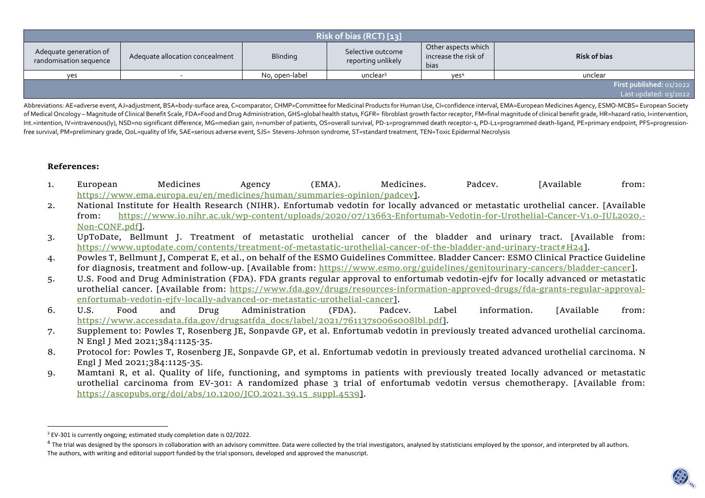| Risk of bias (RCT) [13]                          |                                 |                 |                                         |                                                     |                                                   |  |  |  |  |
|--------------------------------------------------|---------------------------------|-----------------|-----------------------------------------|-----------------------------------------------------|---------------------------------------------------|--|--|--|--|
| Adequate generation of<br>randomisation sequence | Adequate allocation concealment | <b>Blinding</b> | Selective outcome<br>reporting unlikely | Other aspects which<br>increase the risk of<br>bias | <b>Risk of bias</b>                               |  |  |  |  |
| yes                                              |                                 | No, open-label  | unclear <sup>3</sup>                    | Yes <sup>4</sup>                                    | unclear                                           |  |  |  |  |
|                                                  |                                 |                 |                                         |                                                     | First published: 01/2022<br>Last updated: 03/2022 |  |  |  |  |

Abbreviations: AE=adverse event, AJ=adjustment, BSA=body-surface area, C=comparator, CHMP=Committee for Medicinal Products for Human Use, CI=confidence interval, EMA=European Medicines Agency, ESMO-MCBS= European Society of Medical Oncology – Magnitude of Clinical Benefit Scale, FDA=Food and Drug Administration, GHS=global health status, FGFR= fibroblast growth factor receptor, FM=final magnitude of clinical benefit grade, HR=hazard ratio, Int.=intention, IV=intravenous(ly), NSD=no significant difference, MG=median gain, n=number of patients, OS=overall survival, PD-1=programmed death receptor-1, PD-L1=programmed death-ligand, PE=primary endpoint, PFS=progre free survival, PM=preliminary grade, QoL=quality of life, SAE=serious adverse event, SJS= Stevens-Johnson syndrome, ST=standard treatment, TEN=Toxic Epidermal Necrolysis

#### **References:**

- 1. European Medicines Agency (EMA). Medicines. Padcev. [Available from: https://www.ema.europa.eu/en/medicines/human/summaries-opinion/padcev].
- 2. National Institute for Health Research (NIHR). Enfortumab vedotin for locally advanced or metastatic urothelial cancer. [Available from: https://www.io.nihr.ac.uk/wp-content/uploads/2020/07/13663-Enfortumab-Vedotin-for-Urothelial-Cancer-V1.0-JUL2020.-Non-CONF.pdf].
- 3. UpToDate, Bellmunt J. Treatment of metastatic urothelial cancer of the bladder and urinary tract. [Available from: https://www.uptodate.com/contents/treatment-of-metastatic-urothelial-cancer-of-the-bladder-and-urinary-tract#H24].
- 4. Powles T, Bellmunt J, Comperat E, et al., on behalf of the ESMO Guidelines Committee. Bladder Cancer: ESMO Clinical Practice Guideline for diagnosis, treatment and follow-up. [Available from: https://www.esmo.org/guidelines/genitourinary-cancers/bladder-cancer].
- 5. U.S. Food and Drug Administration (FDA). FDA grants regular approval to enfortumab vedotin-ejfv for locally advanced or metastatic urothelial cancer. [Available from: https://www.fda.gov/drugs/resources-information-approved-drugs/fda-grants-regular-approvalenfortumab-vedotin-ejfv-locally-advanced-or-metastatic-urothelial-cancer].
- Padcey. 6. U.S. Food and Drug Administration (FDA). Padcev. Label information. [Available from: https://www.accessdata.fda.gov/drugsatfda\_docs/label/2021/761137s006s008lbl.pdf].
- 7. Supplement to: Powles T, Rosenberg JE, Sonpavde GP, et al. Enfortumab vedotin in previously treated advanced urothelial carcinoma. N Engl J Med 2021;384:1125-35.
- 8. Protocol for: Powles T, Rosenberg JE, Sonpavde GP, et al. Enfortumab vedotin in previously treated advanced urothelial carcinoma. N Engl J Med 2021;384:1125-35.
- 9. Mamtani R, et al. Quality of life, functioning, and symptoms in patients with previously treated locally advanced or metastatic urothelial carcinoma from EV-301: A randomized phase 3 trial of enfortumab vedotin versus chemotherapy. [Available from: https://ascopubs.org/doi/abs/10.1200/JCO.2021.39.15\_suppl.4539].

<sup>&</sup>lt;sup>3</sup> EV-301 is currently ongoing; estimated study completion date is 02/2022.

 $^4$  The trial was designed by the sponsors in collaboration with an advisory committee. Data were collected by the trial investigators, analysed by statisticians employed by the sponsor, and interpreted by all authors. The authors, with writing and editorial support funded by the trial sponsors, developed and approved the manuscript.